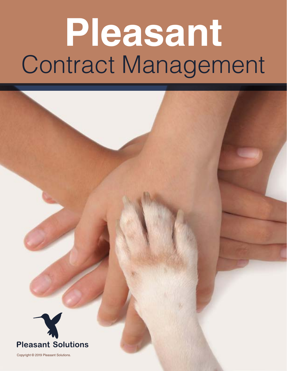# **Pleasant** Contract Management



Copyright © 2019 Pleasant Solutions.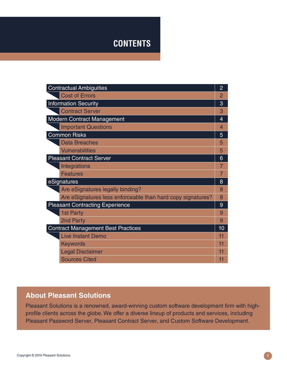# **CONTENTS**

| <b>Contractual Ambiguities</b>                              | $\overline{2}$ |
|-------------------------------------------------------------|----------------|
| <b>Cost of Errors</b>                                       | 2              |
| <b>Information Security</b>                                 | 3              |
| <b>Contract Server</b>                                      | 3              |
| <b>Modern Contract Management</b>                           | 4              |
| <b>Important Questions</b>                                  | 4              |
| <b>Common Risks</b>                                         | 5              |
| <b>Data Breaches</b>                                        | 5              |
| <b>Vulnerabilities</b>                                      | 5              |
| <b>Pleasant Contract Server</b>                             | 6              |
| Integrations                                                |                |
| <b>Features</b>                                             |                |
| eSignatures<br>8                                            |                |
| Are eSignatures legally binding?                            | 8              |
| Are eSignatures less enforceable than hard copy signatures? | 8              |
| <b>Pleasant Contracting Experience</b>                      | 9              |
| 1st Party                                                   | 9              |
| 2nd Party                                                   | 9              |
| <b>Contract Management Best Practices</b>                   | 10             |
| <b>Live Instant Demo</b>                                    | 11             |
| <b>Keywords</b>                                             | 11             |
| <b>Legal Disclaimer</b>                                     | 11             |
| <b>Sources Cited</b>                                        | 11             |

#### **About Pleasant Solutions**

Pleasant Solutions is a renowned, award-winning custom software development firm with highprofile clients across the globe. We offer a diverse lineup of products and services, including Pleasant Password Server, Pleasant Contract Server, and Custom Software Development.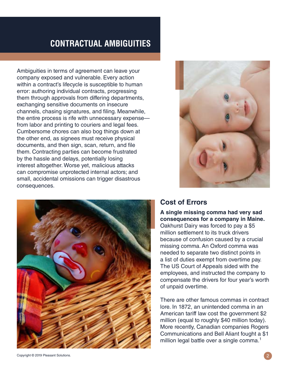# **CONTRACTUAL AMBIGUITIES**

Ambiguities in terms of agreement can leave your company exposed and vulnerable. Every action within a contract's lifecycle is susceptible to human error: authoring individual contracts, progressing them through approvals from differing departments, exchanging sensitive documents on insecure channels, chasing signatures, and filing. Meanwhile, the entire process is rife with unnecessary expense from labor and printing to couriers and legal fees. Cumbersome chores can also bog things down at the other end, as signees must receive physical documents, and then sign, scan, return, and file them. Contracting parties can become frustrated by the hassle and delays, potentially losing interest altogether. Worse yet, malicious attacks can compromise unprotected internal actors; and small, accidental omissions can trigger disastrous consequences.





#### **Cost of Errors**

**A single missing comma had very sad consequences for a company in Maine.**  Oakhurst Dairy was forced to pay a \$5 million settlement to its truck drivers because of confusion caused by a crucial missing comma. An Oxford comma was needed to separate two distinct points in a list of duties exempt from overtime pay. The US Court of Appeals sided with the employees, and instructed the company to compensate the drivers for four year's worth of unpaid overtime.

There are other famous commas in contract lore. In 1872, an unintended comma in an American tariff law cost the government \$2 million (equal to roughly \$40 million today). More recently, Canadian companies Rogers Communications and Bell Aliant fought a \$1 million legal battle over a single comma.<sup>1</sup>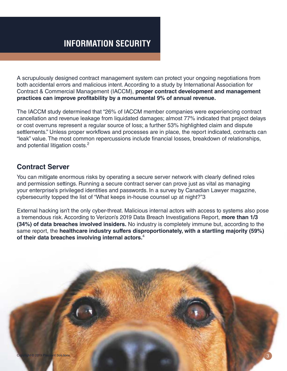A scrupulously designed contract management system can protect your ongoing negotiations from both accidental errors and malicious intent. According to a study by International Association for Contract & Commercial Management (IACCM), **proper contract development and management practices can improve profitability by a monumental 9% of annual revenue.** 

The IACCM study determined that "26% of IACCM member companies were experiencing contract cancellation and revenue leakage from liquidated damages; almost 77% indicated that project delays or cost overruns represent a regular source of loss; a further 53% highlighted claim and dispute settlements." Unless proper workflows and processes are in place, the report indicated, contracts can "leak" value. The most common repercussions include financial losses, breakdown of relationships, and potential litigation costs.<sup>2</sup>

#### **Contract Server**

You can mitigate enormous risks by operating a secure server network with clearly defined roles and permission settings. Running a secure contract server can prove just as vital as managing your enterprise's privileged identities and passwords. In a survey by Canadian Lawyer magazine, cybersecurity topped the list of "What keeps in-house counsel up at night?"3

External hacking isn't the only cyber-threat. Malicious internal actors with access to systems also pose a tremendous risk. According to Verizon's 2019 Data Breach Investigations Report, **more than 1/3 (34%) of data breaches involved insiders.** No industry is completely immune but, according to the same report, the **healthcare industry suffers disproportionately, with a startling majority (59%) of their data breaches involving internal actors.**<sup>4</sup>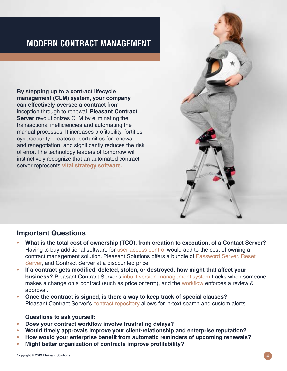# **MODERN CONTRACT MANAGEMENT**

**By stepping up to a contract lifecycle management (CLM) system, your company can effectively oversee a contract** from inception through to renewal. **Pleasant Contract Server** revolutionizes CLM by eliminating the transactional inefficiencies and automating the manual processes. It increases profitability, fortifies cybersecurity, creates opportunities for renewal and renegotiation, and significantly reduces the risk of error. The technology leaders of tomorrow will instinctively recognize that an automated contract server represents **vital strategy software.**

#### **Important Questions**

- **• What is the total cost of ownership (TCO), from creation to execution, of a Contact Server?**  Having to buy additional software for user access control would add to the cost of owning a contract management solution. Pleasant Solutions offers a bundle of Password Server, Reset Server, and Contract Server at a discounted price.
- **• If a contract gets modified, deleted, stolen, or destroyed, how might that affect your business?** Pleasant Contract Server's inbuilt version management system tracks when someone makes a change on a contract (such as price or term), and the workflow enforces a review & approval.
- **• Once the contract is signed, is there a way to keep track of special clauses?** Pleasant Contract Server's contract repository allows for in-text search and custom alerts.

#### **Questions to ask yourself:**

- **• Does your contract workflow involve frustrating delays?**
- **• Would timely approvals improve your client-relationship and enterprise reputation?**
- **• How would your enterprise benefit from automatic reminders of upcoming renewals?**
- **• Might better organization of contracts improve profitability?**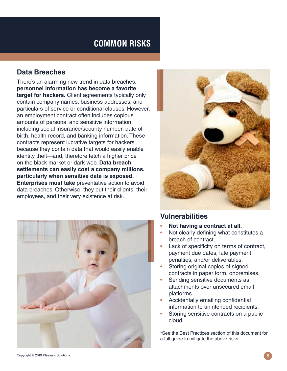# **COMMON RISKS**

#### **Data Breaches**

There's an alarming new trend in data breaches: **personnel information has become a favorite target for hackers.** Client agreements typically only contain company names, business addresses, and particulars of service or conditional clauses. However, an employment contract often includes copious amounts of personal and sensitive information, including social insurance/security number, date of birth, health record, and banking information. These contracts represent lucrative targets for hackers because they contain data that would easily enable identity theft—and, therefore fetch a higher price on the black market or dark web. **Data breach settlements can easily cost a company millions, particularly when sensitive data is exposed. Enterprises must take** preventative action to avoid data breaches. Otherwise, they put their clients, their employees, and their very existence at risk.





#### **Vulnerabilities**

- **• Not having a contract at all.**
- **•** Not clearly defining what constitutes a breach of contract.
- **•** Lack of specificity on terms of contract, payment due dates, late payment penalties, and/or deliverables.
- **•** Storing original copies of signed contracts in paper form, onpremises.
- **•** Sending sensitive documents as attachments over unsecured email platforms.
- **•** Accidentally emailing confidential information to unintended recipients.
- **•** Storing sensitive contracts on a public cloud.

\*See the Best Practices section of this document for a full guide to mitigate the above risks.

Copyright © 2019 Pleasant Solutions.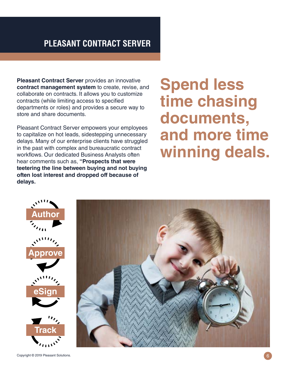# **PLEASANT CONTRACT SERVER**

**Pleasant Contract Server** provides an innovative **contract management system** to create, revise, and collaborate on contracts. It allows you to customize contracts (while limiting access to specified departments or roles) and provides a secure way to store and share documents.

Pleasant Contract Server empowers your employees to capitalize on hot leads, sidestepping unnecessary delays. Many of our enterprise clients have struggled in the past with complex and bureaucratic contract workflows. Our dedicated Business Analysts often hear comments such as, **"Prospects that were teetering the line between buying and not buying often lost interest and dropped off because of delays.**

# **Spend less time chasing documents, and more time winning deals.**



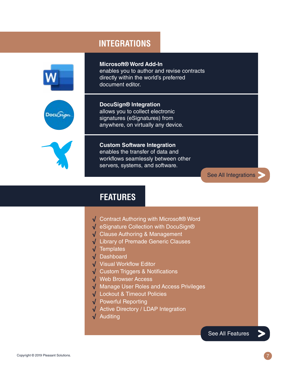#### **INTEGRATIONS**

**DocuSign® Integration**

allows you to collect electronic signatures (eSignatures) from



**Microsoft® Word Add-In** enables you to author and revise contracts directly within the world's preferred document editor.



anywhere, on virtually any device.

**Custom Software Integration** enables the transfer of data and workflows seamlessly between other servers, systems, and software.

[See All Integrations](https://pleasantsolutions.com/contract-server/details/integrations)

[See All Features](https://pleasantsolutions.com/contract-server/details/features)

#### **FEATURES**

- √ Contract Authoring with Microsoft® Word
- √ eSignature Collection with DocuSign®
- √ Clause Authoring & Management
- √ Library of Premade Generic Clauses
- √ Templates
- √ Dashboard
- √ Visual Workflow Editor
- √ Custom Triggers & Notifications
- √ Web Browser Access
- √ Manage User Roles and Access Privileges
- √ Lockout & Timeout Policies
- √ Powerful Reporting
- √ Active Directory / LDAP Integration
- √ Auditing

Copyright © 2019 Pleasant Solutions. 7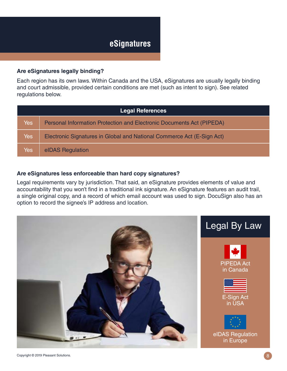#### **Are eSignatures legally binding?**

Each region has its own laws. Within Canada and the USA, eSignatures are usually legally binding and court admissible, provided certain conditions are met (such as intent to sign). See related regulations below.

| <b>Legal References</b> |                                                                              |
|-------------------------|------------------------------------------------------------------------------|
| <b>Yes</b>              | <b>Personal Information Protection and Electronic Documents Act (PIPEDA)</b> |
| <b>Yes</b>              | Electronic Signatures in Global and National Commerce Act (E-Sign Act)       |
| Yes                     | elDAS Regulation                                                             |

#### **Are eSignatures less enforceable than hard copy signatures?**

Legal requirements vary by jurisdiction. That said, an eSignature provides elements of value and accountability that you won't find in a traditional ink signature. An eSignature features an audit trail, a single original copy, and a record of which email account was used to sign. DocuSign also has an option to record the signee's IP address and location.

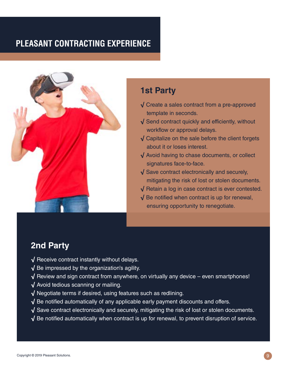# **PLEASANT CONTRACTING EXPERIENCE**



# **1st Party**

- √ Create a sales contract from a pre-approved template in seconds.
- √ Send contract quickly and efficiently, without workflow or approval delays.
- √ Capitalize on the sale before the client forgets about it or loses interest.
- √ Avoid having to chase documents, or collect signatures face-to-face.
- √ Save contract electronically and securely, mitigating the risk of lost or stolen documents.
- √ Retain a log in case contract is ever contested.
- √ Be notified when contract is up for renewal, ensuring opportunity to renegotiate.

## **2nd Party**

- √ Receive contract instantly without delays.
- √ Be impressed by the organization's agility.
- $\sqrt{\ }$  Review and sign contract from anywhere, on virtually any device even smartphones!
- √ Avoid tedious scanning or mailing.
- √ Negotiate terms if desired, using features such as redlining.
- √ Be notified automatically of any applicable early payment discounts and offers.
- √ Save contract electronically and securely, mitigating the risk of lost or stolen documents.
- $\sqrt{ }$  Be notified automatically when contract is up for renewal, to prevent disruption of service.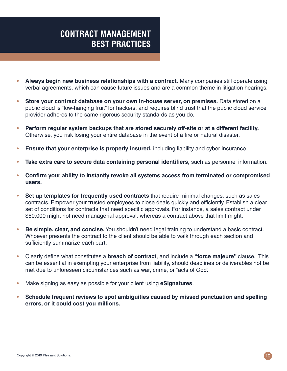# **CONTRACT MANAGEMENT BEST PRACTICES**

- **• Always begin new business relationships with a contract.** Many companies still operate using verbal agreements, which can cause future issues and are a common theme in litigation hearings.
- **• Store your contract database on your own in-house server, on premises.** Data stored on a public cloud is "low-hanging fruit" for hackers, and requires blind trust that the public cloud service provider adheres to the same rigorous security standards as you do.
- **• Perform regular system backups that are stored securely off-site or at a different facility.**  Otherwise, you risk losing your entire database in the event of a fire or natural disaster.
- **• Ensure that your enterprise is properly insured,** including liability and cyber insurance.
- **• Take extra care to secure data containing personal identifiers,** such as personnel information.
- **• Confirm your ability to instantly revoke all systems access from terminated or compromised users.**
- **• Set up templates for frequently used contracts** that require minimal changes, such as sales contracts. Empower your trusted employees to close deals quickly and efficiently. Establish a clear set of conditions for contracts that need specific approvals. For instance, a sales contract under \$50,000 might not need managerial approval, whereas a contract above that limit might.
- **• Be simple, clear, and concise.** You shouldn't need legal training to understand a basic contract. Whoever presents the contract to the client should be able to walk through each section and sufficiently summarize each part.
- Clearly define what constitutes a **breach of contract**, and include a **"force majeure"** clause. This can be essential in exempting your enterprise from liability, should deadlines or deliverables not be met due to unforeseen circumstances such as war, crime, or "acts of God".
- Make signing as easy as possible for your client using **eSignatures**.
- **• Schedule frequent reviews to spot ambiguities caused by missed punctuation and spelling errors, or it could cost you millions.**